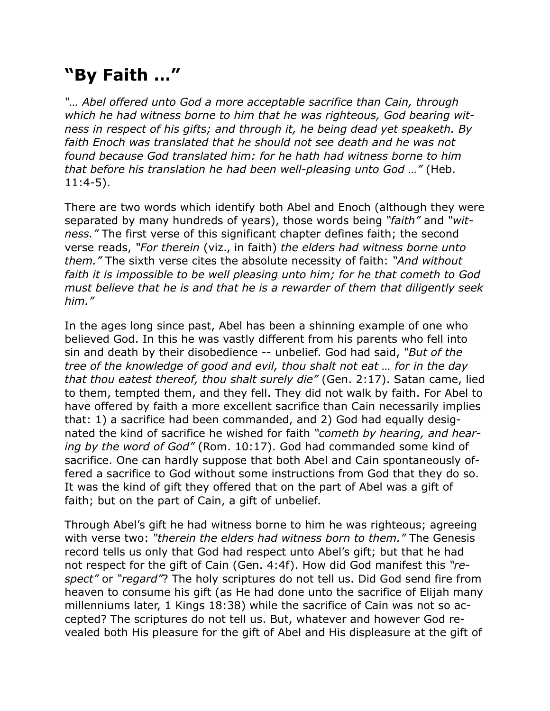## **"By Faith …"**

*"… Abel offered unto God a more acceptable sacrifice than Cain, through which he had witness borne to him that he was righteous, God bearing witness in respect of his gifts; and through it, he being dead yet speaketh. By faith Enoch was translated that he should not see death and he was not found because God translated him: for he hath had witness borne to him that before his translation he had been well-pleasing unto God …"* (Heb. 11:4-5).

There are two words which identify both Abel and Enoch (although they were separated by many hundreds of years), those words being *"faith"* and *"witness."* The first verse of this significant chapter defines faith; the second verse reads, *"For therein* (viz., in faith) *the elders had witness borne unto them."* The sixth verse cites the absolute necessity of faith: *"And without faith it is impossible to be well pleasing unto him; for he that cometh to God must believe that he is and that he is a rewarder of them that diligently seek him."*

In the ages long since past, Abel has been a shinning example of one who believed God. In this he was vastly different from his parents who fell into sin and death by their disobedience -- unbelief. God had said, *"But of the tree of the knowledge of good and evil, thou shalt not eat … for in the day that thou eatest thereof, thou shalt surely die"* (Gen. 2:17). Satan came, lied to them, tempted them, and they fell. They did not walk by faith. For Abel to have offered by faith a more excellent sacrifice than Cain necessarily implies that: 1) a sacrifice had been commanded, and 2) God had equally designated the kind of sacrifice he wished for faith *"cometh by hearing, and hearing by the word of God"* (Rom. 10:17). God had commanded some kind of sacrifice. One can hardly suppose that both Abel and Cain spontaneously offered a sacrifice to God without some instructions from God that they do so. It was the kind of gift they offered that on the part of Abel was a gift of faith; but on the part of Cain, a gift of unbelief.

Through Abel's gift he had witness borne to him he was righteous; agreeing with verse two: *"therein the elders had witness born to them."* The Genesis record tells us only that God had respect unto Abel's gift; but that he had not respect for the gift of Cain (Gen. 4:4f). How did God manifest this *"respect"* or *"regard"*? The holy scriptures do not tell us. Did God send fire from heaven to consume his gift (as He had done unto the sacrifice of Elijah many millenniums later, 1 Kings 18:38) while the sacrifice of Cain was not so accepted? The scriptures do not tell us. But, whatever and however God revealed both His pleasure for the gift of Abel and His displeasure at the gift of